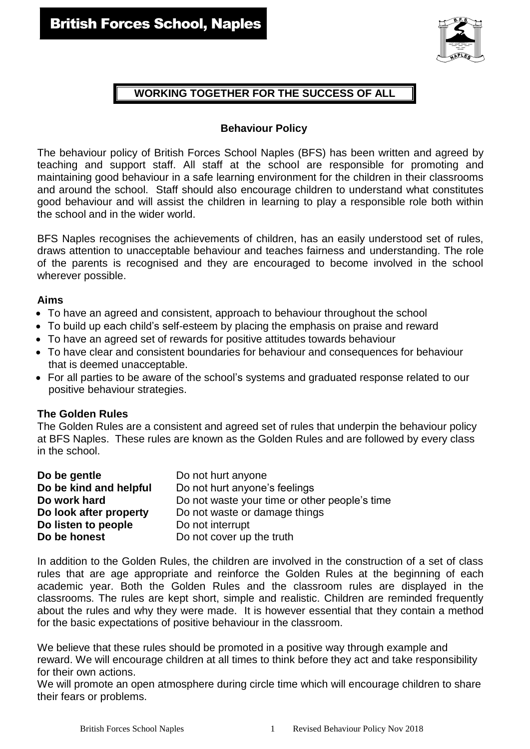

## **WORKING TOGETHER FOR THE SUCCESS OF ALL**

#### **Behaviour Policy**

The behaviour policy of British Forces School Naples (BFS) has been written and agreed by teaching and support staff. All staff at the school are responsible for promoting and maintaining good behaviour in a safe learning environment for the children in their classrooms and around the school. Staff should also encourage children to understand what constitutes good behaviour and will assist the children in learning to play a responsible role both within the school and in the wider world.

BFS Naples recognises the achievements of children, has an easily understood set of rules, draws attention to unacceptable behaviour and teaches fairness and understanding. The role of the parents is recognised and they are encouraged to become involved in the school wherever possible.

#### **Aims**

- To have an agreed and consistent, approach to behaviour throughout the school
- To build up each child's self-esteem by placing the emphasis on praise and reward
- To have an agreed set of rewards for positive attitudes towards behaviour
- To have clear and consistent boundaries for behaviour and consequences for behaviour that is deemed unacceptable.
- For all parties to be aware of the school's systems and graduated response related to our positive behaviour strategies.

#### **The Golden Rules**

The Golden Rules are a consistent and agreed set of rules that underpin the behaviour policy at BFS Naples. These rules are known as the Golden Rules and are followed by every class in the school.

| Do not hurt anyone                            |
|-----------------------------------------------|
| Do not hurt anyone's feelings                 |
| Do not waste your time or other people's time |
| Do not waste or damage things                 |
| Do not interrupt                              |
| Do not cover up the truth                     |
|                                               |

In addition to the Golden Rules, the children are involved in the construction of a set of class rules that are age appropriate and reinforce the Golden Rules at the beginning of each academic year. Both the Golden Rules and the classroom rules are displayed in the classrooms. The rules are kept short, simple and realistic. Children are reminded frequently about the rules and why they were made. It is however essential that they contain a method for the basic expectations of positive behaviour in the classroom.

We believe that these rules should be promoted in a positive way through example and reward. We will encourage children at all times to think before they act and take responsibility for their own actions.

We will promote an open atmosphere during circle time which will encourage children to share their fears or problems.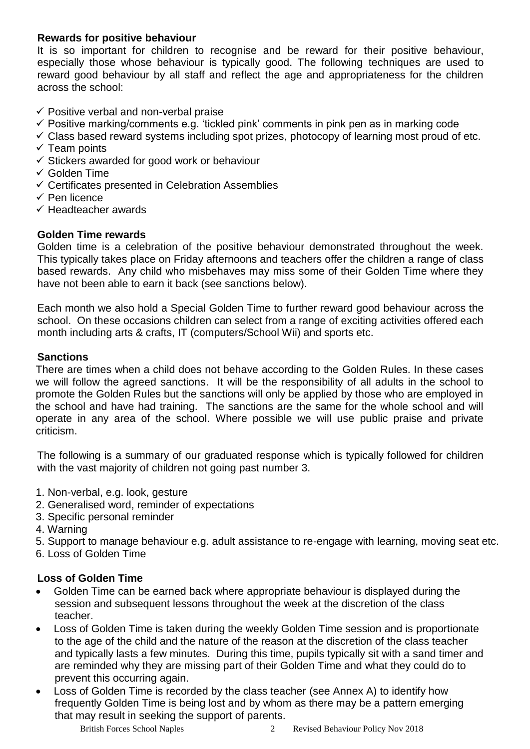## **Rewards for positive behaviour**

It is so important for children to recognise and be reward for their positive behaviour, especially those whose behaviour is typically good. The following techniques are used to reward good behaviour by all staff and reflect the age and appropriateness for the children across the school:

- $\checkmark$  Positive verbal and non-verbal praise
- $\checkmark$  Positive marking/comments e.g. 'tickled pink' comments in pink pen as in marking code
- $\checkmark$  Class based reward systems including spot prizes, photocopy of learning most proud of etc.
- $\checkmark$  Team points
- $\checkmark$  Stickers awarded for good work or behaviour
- $\checkmark$  Golden Time
- $\checkmark$  Certificates presented in Celebration Assemblies
- $\checkmark$  Pen licence
- $\checkmark$  Headteacher awards

## **Golden Time rewards**

Golden time is a celebration of the positive behaviour demonstrated throughout the week. This typically takes place on Friday afternoons and teachers offer the children a range of class based rewards. Any child who misbehaves may miss some of their Golden Time where they have not been able to earn it back (see sanctions below).

Each month we also hold a Special Golden Time to further reward good behaviour across the school. On these occasions children can select from a range of exciting activities offered each month including arts & crafts, IT (computers/School Wii) and sports etc.

## **Sanctions**

There are times when a child does not behave according to the Golden Rules. In these cases we will follow the agreed sanctions. It will be the responsibility of all adults in the school to promote the Golden Rules but the sanctions will only be applied by those who are employed in the school and have had training. The sanctions are the same for the whole school and will operate in any area of the school. Where possible we will use public praise and private criticism.

The following is a summary of our graduated response which is typically followed for children with the vast majority of children not going past number 3.

- 1. Non-verbal, e.g. look, gesture
- 2. Generalised word, reminder of expectations
- 3. Specific personal reminder
- 4. Warning
- 5. Support to manage behaviour e.g. adult assistance to re-engage with learning, moving seat etc.
- 6. Loss of Golden Time

## **Loss of Golden Time**

- Golden Time can be earned back where appropriate behaviour is displayed during the session and subsequent lessons throughout the week at the discretion of the class teacher.
- Loss of Golden Time is taken during the weekly Golden Time session and is proportionate to the age of the child and the nature of the reason at the discretion of the class teacher and typically lasts a few minutes. During this time, pupils typically sit with a sand timer and are reminded why they are missing part of their Golden Time and what they could do to prevent this occurring again.
- Loss of Golden Time is recorded by the class teacher (see Annex A) to identify how frequently Golden Time is being lost and by whom as there may be a pattern emerging that may result in seeking the support of parents.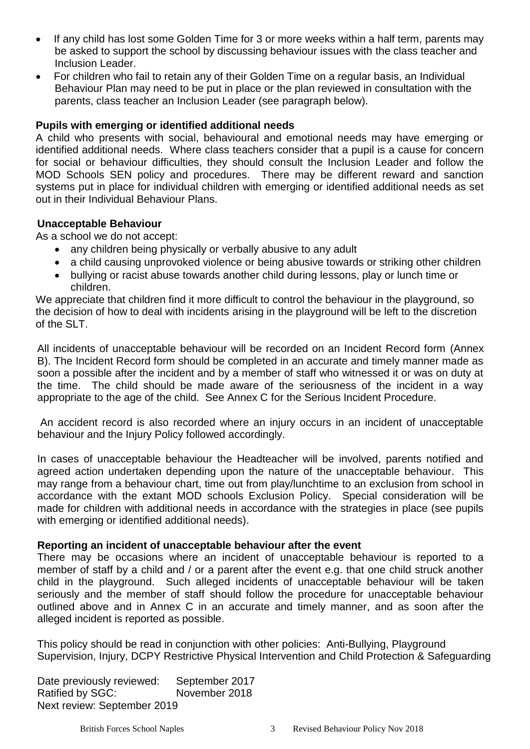- If any child has lost some Golden Time for 3 or more weeks within a half term, parents may be asked to support the school by discussing behaviour issues with the class teacher and Inclusion Leader.
- For children who fail to retain any of their Golden Time on a regular basis, an Individual Behaviour Plan may need to be put in place or the plan reviewed in consultation with the parents, class teacher an Inclusion Leader (see paragraph below).

#### **Pupils with emerging or identified additional needs**

A child who presents with social, behavioural and emotional needs may have emerging or identified additional needs. Where class teachers consider that a pupil is a cause for concern for social or behaviour difficulties, they should consult the Inclusion Leader and follow the MOD Schools SEN policy and procedures. There may be different reward and sanction systems put in place for individual children with emerging or identified additional needs as set out in their Individual Behaviour Plans.

## **Unacceptable Behaviour**

As a school we do not accept:

- any children being physically or verbally abusive to any adult
- a child causing unprovoked violence or being abusive towards or striking other children
- bullying or racist abuse towards another child during lessons, play or lunch time or children.

We appreciate that children find it more difficult to control the behaviour in the playground, so the decision of how to deal with incidents arising in the playground will be left to the discretion of the SLT.

All incidents of unacceptable behaviour will be recorded on an Incident Record form (Annex B). The Incident Record form should be completed in an accurate and timely manner made as soon a possible after the incident and by a member of staff who witnessed it or was on duty at the time. The child should be made aware of the seriousness of the incident in a way appropriate to the age of the child. See Annex C for the Serious Incident Procedure.

An accident record is also recorded where an injury occurs in an incident of unacceptable behaviour and the Injury Policy followed accordingly.

In cases of unacceptable behaviour the Headteacher will be involved, parents notified and agreed action undertaken depending upon the nature of the unacceptable behaviour. This may range from a behaviour chart, time out from play/lunchtime to an exclusion from school in accordance with the extant MOD schools Exclusion Policy. Special consideration will be made for children with additional needs in accordance with the strategies in place (see pupils with emerging or identified additional needs).

#### **Reporting an incident of unacceptable behaviour after the event**

There may be occasions where an incident of unacceptable behaviour is reported to a member of staff by a child and / or a parent after the event e.g. that one child struck another child in the playground. Such alleged incidents of unacceptable behaviour will be taken seriously and the member of staff should follow the procedure for unacceptable behaviour outlined above and in Annex C in an accurate and timely manner, and as soon after the alleged incident is reported as possible.

This policy should be read in conjunction with other policies: Anti-Bullying, Playground Supervision, Injury, DCPY Restrictive Physical Intervention and Child Protection & Safeguarding

Date previously reviewed: September 2017 Ratified by SGC: November 2018 Next review: September 2019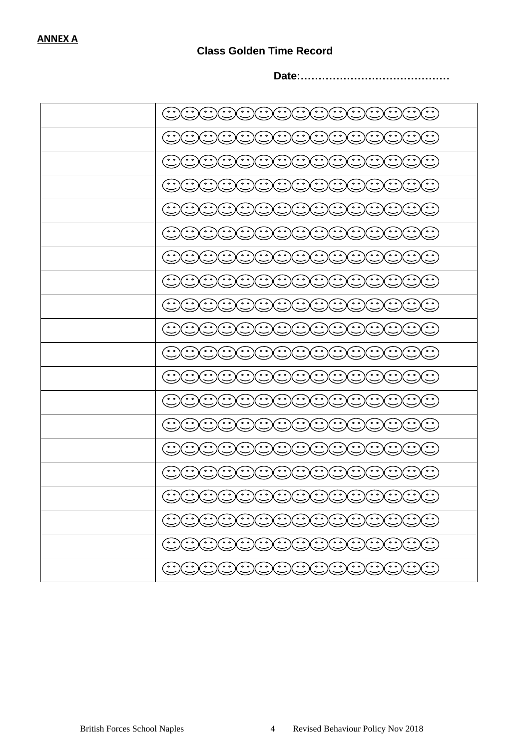# **Class Golden Time Record**

**Date:……………………………………**

| 00000000000000000      |
|------------------------|
| <u>aaaaaaaaaaaaa</u>   |
| CCCCCCCCCCCCCCC        |
| 000000000000000        |
| COOOOOOOOOOOOOO        |
| <u>OOOOOOOOOOOOOO</u>  |
| 0000000000000000       |
| <u>DOOOOOOOOOOOOO</u>  |
| CCCCCCCCCCCCCCC        |
| COOOOOOOOOOOOO         |
| 0000000000000000       |
| <u>DOOOOOOOOOOOOO</u>  |
| <u>DOOOOOOOOOOOOO</u>  |
| <u>GOCOCOCOCOCOCO</u>  |
| <u>DOOOOOOOOOOOOO</u>  |
| <u>DOOOOOOOOOOOOO</u>  |
| DOOOOOOOOOOOOO         |
| <u>DOOOOOOOOOOOOOO</u> |
| <u>DOOOOOOOOOOOOO</u>  |
| <u>DOOOOOOOOOOOOO</u>  |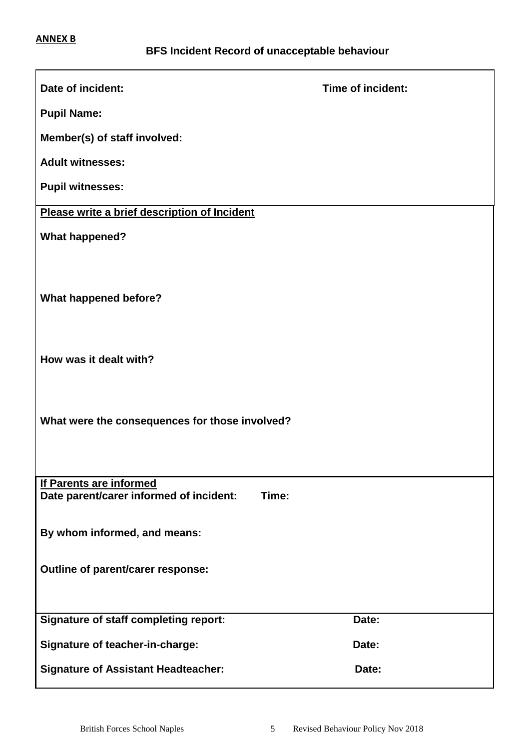r.

| Date of incident:                                                                  | Time of incident: |  |  |
|------------------------------------------------------------------------------------|-------------------|--|--|
| <b>Pupil Name:</b>                                                                 |                   |  |  |
| Member(s) of staff involved:                                                       |                   |  |  |
| <b>Adult witnesses:</b>                                                            |                   |  |  |
| <b>Pupil witnesses:</b>                                                            |                   |  |  |
| Please write a brief description of Incident                                       |                   |  |  |
| <b>What happened?</b>                                                              |                   |  |  |
|                                                                                    |                   |  |  |
| <b>What happened before?</b>                                                       |                   |  |  |
|                                                                                    |                   |  |  |
|                                                                                    |                   |  |  |
| How was it dealt with?                                                             |                   |  |  |
|                                                                                    |                   |  |  |
| What were the consequences for those involved?                                     |                   |  |  |
|                                                                                    |                   |  |  |
|                                                                                    |                   |  |  |
| <b>If Parents are informed</b><br>Date parent/carer informed of incident:<br>Time: |                   |  |  |
|                                                                                    |                   |  |  |
| By whom informed, and means:                                                       |                   |  |  |
| Outline of parent/carer response:                                                  |                   |  |  |
|                                                                                    |                   |  |  |
| <b>Signature of staff completing report:</b>                                       | Date:             |  |  |
| <b>Signature of teacher-in-charge:</b>                                             | Date:             |  |  |
| <b>Signature of Assistant Headteacher:</b>                                         | Date:             |  |  |
|                                                                                    |                   |  |  |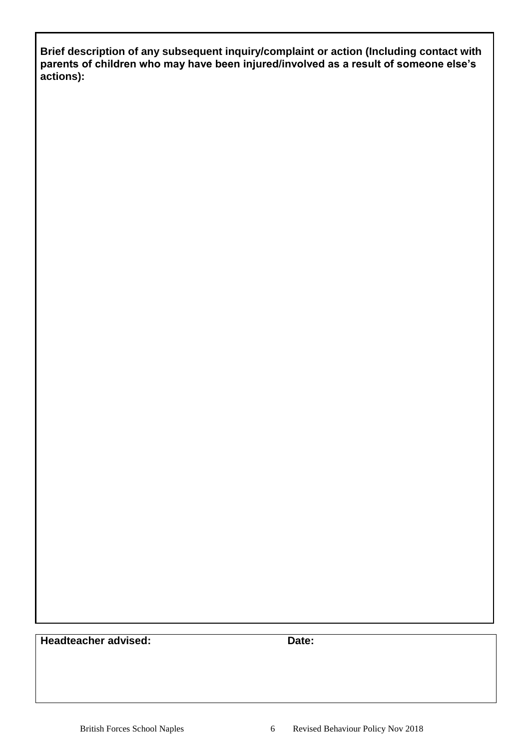**Brief description of any subsequent inquiry/complaint or action (Including contact with parents of children who may have been injured/involved as a result of someone else's actions):**

**Headteacher advised: Date:**